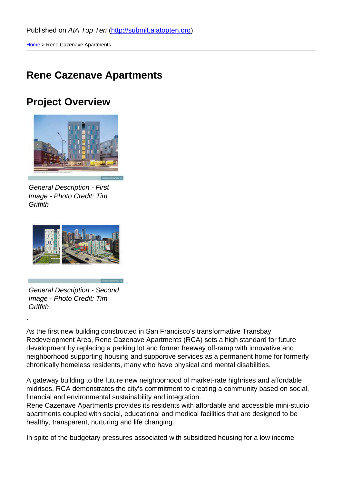### [Ren](http://submit.aiatopten.org/)e Cazenave Apartments

#### Project Overview

General Description - First Image - Photo Credit: Tim **Griffith** 

General Description - Second Image - Photo Credit: Tim **Griffith** 

.

As the first new building constructed in San Francisco's transformative Transbay Redevelopment Area, Rene Cazenave Apartments (RCA) sets a high standard for future development by replacing a parking lot and former freeway off-ramp with innovative and neighborhood supporting housing and supportive services as a permanent home for formerly chronically homeless residents, many who have physical and mental disabilities.

A gateway building to the future new neighborhood of market-rate highrises and affordable midrises, RCA demonstrates the city's commitment to creating a community based on social, financial and environmental sustainability and integration.

Rene Cazenave Apartments provides its residents with affordable and accessible mini-studio apartments coupled with social, educational and medical facilities that are designed to be healthy, transparent, nurturing and life changing.

In spite of the budgetary pressures associated with subsidized housing for a low income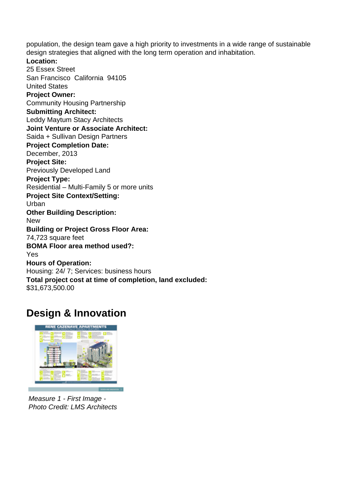population, the design team gave a high priority to investments in a wide range of sustainable design strategies that aligned with the long term operation and inhabitation.

**Location:**  25 Essex Street San Francisco California 94105 United States **Project Owner:**  Community Housing Partnership **Submitting Architect:**  Leddy Maytum Stacy Architects **Joint Venture or Associate Architect:**  Saida + Sullivan Design Partners **Project Completion Date:**  December, 2013 **Project Site:**  Previously Developed Land **Project Type:**  Residential – Multi-Family 5 or more units **Project Site Context/Setting:**  Urban **Other Building Description:**  New **Building or Project Gross Floor Area:**  74,723 square feet

#### **BOMA Floor area method used?:**

#### Yes

**Hours of Operation:** 

Housing: 24/ 7; Services: business hours

**Total project cost at time of completion, land excluded:** 

\$31,673,500.00

## **Design & Innovation**



Measure 1 - First Image - Photo Credit: LMS Architects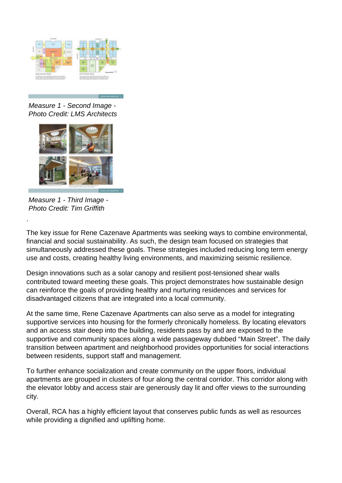

Measure 1 - Second Image - Photo Credit: LMS Architects



Measure 1 - Third Image - Photo Credit: Tim Griffith

.

The key issue for Rene Cazenave Apartments was seeking ways to combine environmental, financial and social sustainability. As such, the design team focused on strategies that simultaneously addressed these goals. These strategies included reducing long term energy use and costs, creating healthy living environments, and maximizing seismic resilience.

Design innovations such as a solar canopy and resilient post-tensioned shear walls contributed toward meeting these goals. This project demonstrates how sustainable design can reinforce the goals of providing healthy and nurturing residences and services for disadvantaged citizens that are integrated into a local community.

At the same time, Rene Cazenave Apartments can also serve as a model for integrating supportive services into housing for the formerly chronically homeless. By locating elevators and an access stair deep into the building, residents pass by and are exposed to the supportive and community spaces along a wide passageway dubbed "Main Street". The daily transition between apartment and neighborhood provides opportunities for social interactions between residents, support staff and management.

To further enhance socialization and create community on the upper floors, individual apartments are grouped in clusters of four along the central corridor. This corridor along with the elevator lobby and access stair are generously day lit and offer views to the surrounding city.

Overall, RCA has a highly efficient layout that conserves public funds as well as resources while providing a dignified and uplifting home.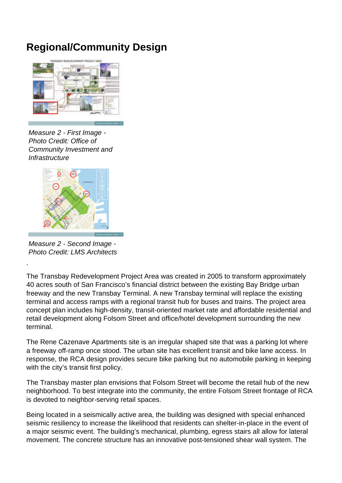# **Regional/Community Design**



Measure 2 - First Image - Photo Credit: Office of Community Investment and **Infrastructure** 



Measure 2 - Second Image - Photo Credit: LMS Architects

.

The Transbay Redevelopment Project Area was created in 2005 to transform approximately 40 acres south of San Francisco's financial district between the existing Bay Bridge urban freeway and the new Transbay Terminal. A new Transbay terminal will replace the existing terminal and access ramps with a regional transit hub for buses and trains. The project area concept plan includes high-density, transit-oriented market rate and affordable residential and retail development along Folsom Street and office/hotel development surrounding the new terminal.

The Rene Cazenave Apartments site is an irregular shaped site that was a parking lot where a freeway off-ramp once stood. The urban site has excellent transit and bike lane access. In response, the RCA design provides secure bike parking but no automobile parking in keeping with the city's transit first policy.

The Transbay master plan envisions that Folsom Street will become the retail hub of the new neighborhood. To best integrate into the community, the entire Folsom Street frontage of RCA is devoted to neighbor-serving retail spaces.

Being located in a seismically active area, the building was designed with special enhanced seismic resiliency to increase the likelihood that residents can shelter-in-place in the event of a major seismic event. The building's mechanical, plumbing, egress stairs all allow for lateral movement. The concrete structure has an innovative post-tensioned shear wall system. The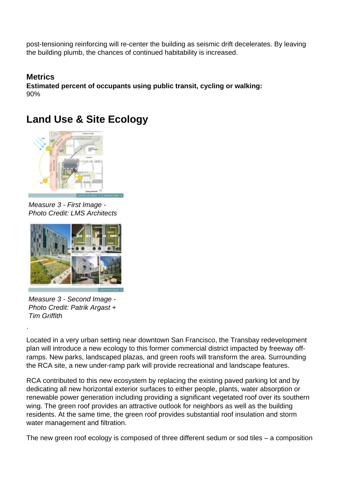post-tensioning reinforcing will re-center the building as seismic drift decelerates. By leaving the building plumb, the chances of continued habitability is increased.

**Metrics Estimated percent of occupants using public transit, cycling or walking:**  90%

# **Land Use & Site Ecology**



Measure 3 - First Image - Photo Credit: LMS Architects



Measure 3 - Second Image - Photo Credit: Patrik Argast + Tim Griffith

.

Located in a very urban setting near downtown San Francisco, the Transbay redevelopment plan will introduce a new ecology to this former commercial district impacted by freeway offramps. New parks, landscaped plazas, and green roofs will transform the area. Surrounding the RCA site, a new under-ramp park will provide recreational and landscape features.

RCA contributed to this new ecosystem by replacing the existing paved parking lot and by dedicating all new horizontal exterior surfaces to either people, plants, water absorption or renewable power generation including providing a significant vegetated roof over its southern wing. The green roof provides an attractive outlook for neighbors as well as the building residents. At the same time, the green roof provides substantial roof insulation and storm water management and filtration.

The new green roof ecology is composed of three different sedum or sod tiles – a composition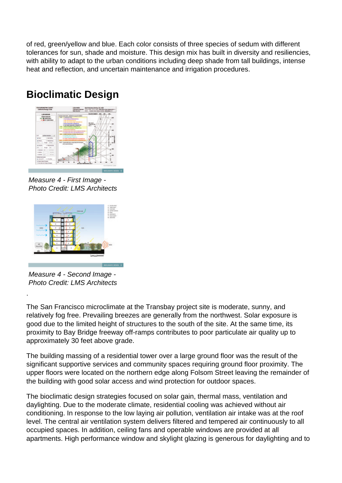of red, green/yellow and blue. Each color consists of three species of sedum with different tolerances for sun, shade and moisture. This design mix has built in diversity and resiliencies, with ability to adapt to the urban conditions including deep shade from tall buildings, intense heat and reflection, and uncertain maintenance and irrigation procedures.

## **Bioclimatic Design**



Measure 4 - First Image - Photo Credit: LMS Architects



Measure 4 - Second Image - Photo Credit: LMS Architects

.

The San Francisco microclimate at the Transbay project site is moderate, sunny, and relatively fog free. Prevailing breezes are generally from the northwest. Solar exposure is good due to the limited height of structures to the south of the site. At the same time, its proximity to Bay Bridge freeway off-ramps contributes to poor particulate air quality up to approximately 30 feet above grade.

The building massing of a residential tower over a large ground floor was the result of the significant supportive services and community spaces requiring ground floor proximity. The upper floors were located on the northern edge along Folsom Street leaving the remainder of the building with good solar access and wind protection for outdoor spaces.

The bioclimatic design strategies focused on solar gain, thermal mass, ventilation and daylighting. Due to the moderate climate, residential cooling was achieved without air conditioning. In response to the low laying air pollution, ventilation air intake was at the roof level. The central air ventilation system delivers filtered and tempered air continuously to all occupied spaces. In addition, ceiling fans and operable windows are provided at all apartments. High performance window and skylight glazing is generous for daylighting and to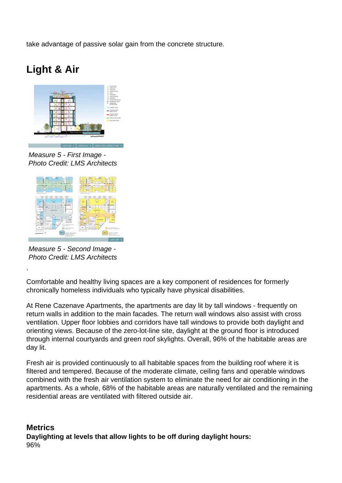take advantage of passive solar gain from the concrete structure.

# **Light & Air**



Measure 5 - First Image - Photo Credit: LMS Architects



Measure 5 - Second Image - Photo Credit: LMS Architects

.

Comfortable and healthy living spaces are a key component of residences for formerly chronically homeless individuals who typically have physical disabilities.

At Rene Cazenave Apartments, the apartments are day lit by tall windows - frequently on return walls in addition to the main facades. The return wall windows also assist with cross ventilation. Upper floor lobbies and corridors have tall windows to provide both daylight and orienting views. Because of the zero-lot-line site, daylight at the ground floor is introduced through internal courtyards and green roof skylights. Overall, 96% of the habitable areas are day lit.

Fresh air is provided continuously to all habitable spaces from the building roof where it is filtered and tempered. Because of the moderate climate, ceiling fans and operable windows combined with the fresh air ventilation system to eliminate the need for air conditioning in the apartments. As a whole, 68% of the habitable areas are naturally ventilated and the remaining residential areas are ventilated with filtered outside air.

**Metrics Daylighting at levels that allow lights to be off during daylight hours:**  96%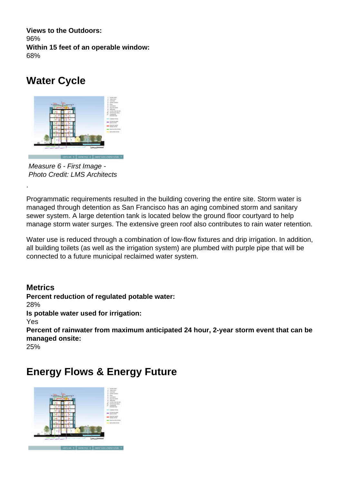**Views to the Outdoors:**  96% **Within 15 feet of an operable window:**  68%

## **Water Cycle**



Measure 6 - First Image - Photo Credit: LMS Architects

.

Programmatic requirements resulted in the building covering the entire site. Storm water is managed through detention as San Francisco has an aging combined storm and sanitary sewer system. A large detention tank is located below the ground floor courtyard to help manage storm water surges. The extensive green roof also contributes to rain water retention.

Water use is reduced through a combination of low-flow fixtures and drip irrigation. In addition, all building toilets (as well as the irrigation system) are plumbed with purple pipe that will be connected to a future municipal reclaimed water system.

**Metrics Percent reduction of regulated potable water:**  28% **Is potable water used for irrigation:**  Yes **Percent of rainwater from maximum anticipated 24 hour, 2-year storm event that can be managed onsite:**  25%

### **Energy Flows & Energy Future**

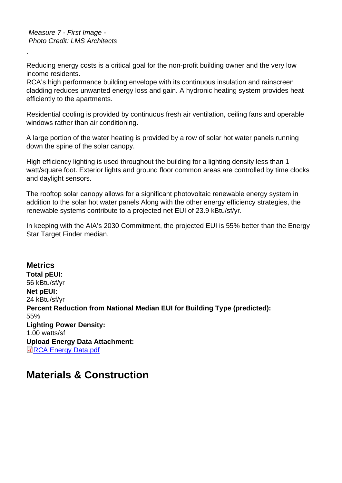Measure 7 - First Image - Photo Credit: LMS Architects

.

Reducing energy costs is a critical goal for the non-profit building owner and the very low income residents.

RCA's high performance building envelope with its continuous insulation and rainscreen cladding reduces unwanted energy loss and gain. A hydronic heating system provides heat efficiently to the apartments.

Residential cooling is provided by continuous fresh air ventilation, ceiling fans and operable windows rather than air conditioning.

A large portion of the water heating is provided by a row of solar hot water panels running down the spine of the solar canopy.

High efficiency lighting is used throughout the building for a lighting density less than 1 watt/square foot. Exterior lights and ground floor common areas are controlled by time clocks and daylight sensors.

The rooftop solar canopy allows for a significant photovoltaic renewable energy system in addition to the solar hot water panels Along with the other energy efficiency strategies, the renewable systems contribute to a projected net EUI of 23.9 kBtu/sf/yr.

In keeping with the AIA's 2030 Commitment, the projected EUI is 55% better than the Energy Star Target Finder median.

**Metrics** Total pEUI: 56 kBtu/sf/yr Net pEUI: 24 kBtu/sf/yr Percent Reduction from National Median EUI for Building Type (predicted): 55% Lighting Power Density: 1.00 watts/sf Upload Energy Data Attachment: RCA Energy Data.pdf

### [Materials & Con](http://submit.aiatopten.org/sites/default/files/RCA Energy Data.pdf)struction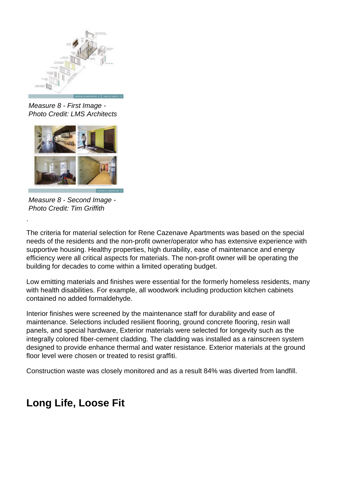

Measure 8 - First Image - Photo Credit: LMS Architects



Measure 8 - Second Image - Photo Credit: Tim Griffith

.

The criteria for material selection for Rene Cazenave Apartments was based on the special needs of the residents and the non-profit owner/operator who has extensive experience with supportive housing. Healthy properties, high durability, ease of maintenance and energy efficiency were all critical aspects for materials. The non-profit owner will be operating the building for decades to come within a limited operating budget.

Low emitting materials and finishes were essential for the formerly homeless residents, many with health disabilities. For example, all woodwork including production kitchen cabinets contained no added formaldehyde.

Interior finishes were screened by the maintenance staff for durability and ease of maintenance. Selections included resilient flooring, ground concrete flooring, resin wall panels, and special hardware, Exterior materials were selected for longevity such as the integrally colored fiber-cement cladding. The cladding was installed as a rainscreen system designed to provide enhance thermal and water resistance. Exterior materials at the ground floor level were chosen or treated to resist graffiti.

Construction waste was closely monitored and as a result 84% was diverted from landfill.

# **Long Life, Loose Fit**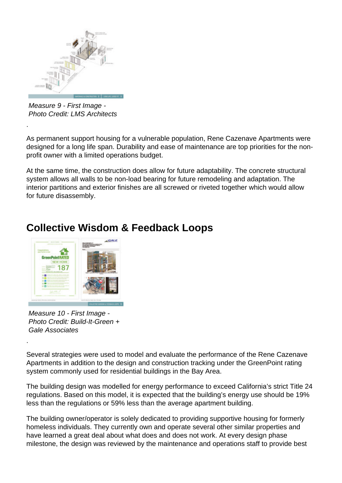

Measure 9 - First Image - Photo Credit: LMS Architects

.

.

As permanent support housing for a vulnerable population, Rene Cazenave Apartments were designed for a long life span. Durability and ease of maintenance are top priorities for the nonprofit owner with a limited operations budget.

At the same time, the construction does allow for future adaptability. The concrete structural system allows all walls to be non-load bearing for future remodeling and adaptation. The interior partitions and exterior finishes are all screwed or riveted together which would allow for future disassembly.



## **Collective Wisdom & Feedback Loops**

Measure 10 - First Image - Photo Credit: Build-It-Green + Gale Associates

Several strategies were used to model and evaluate the performance of the Rene Cazenave Apartments in addition to the design and construction tracking under the GreenPoint rating system commonly used for residential buildings in the Bay Area.

The building design was modelled for energy performance to exceed California's strict Title 24 regulations. Based on this model, it is expected that the building's energy use should be 19% less than the regulations or 59% less than the average apartment building.

The building owner/operator is solely dedicated to providing supportive housing for formerly homeless individuals. They currently own and operate several other similar properties and have learned a great deal about what does and does not work. At every design phase milestone, the design was reviewed by the maintenance and operations staff to provide best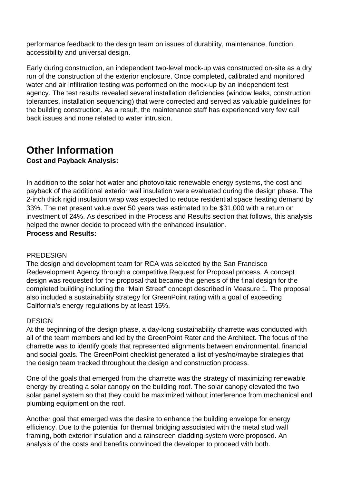performance feedback to the design team on issues of durability, maintenance, function, accessibility and universal design.

Early during construction, an independent two-level mock-up was constructed on-site as a dry run of the construction of the exterior enclosure. Once completed, calibrated and monitored water and air infiltration testing was performed on the mock-up by an independent test agency. The test results revealed several installation deficiencies (window leaks, construction tolerances, installation sequencing) that were corrected and served as valuable guidelines for the building construction. As a result, the maintenance staff has experienced very few call back issues and none related to water intrusion.

## **Other Information**

**Cost and Payback Analysis:** 

In addition to the solar hot water and photovoltaic renewable energy systems, the cost and payback of the additional exterior wall insulation were evaluated during the design phase. The 2-inch thick rigid insulation wrap was expected to reduce residential space heating demand by 33%. The net present value over 50 years was estimated to be \$31,000 with a return on investment of 24%. As described in the Process and Results section that follows, this analysis helped the owner decide to proceed with the enhanced insulation. **Process and Results:** 

# **PREDESIGN**

The design and development team for RCA was selected by the San Francisco Redevelopment Agency through a competitive Request for Proposal process. A concept design was requested for the proposal that became the genesis of the final design for the completed building including the "Main Street" concept described in Measure 1. The proposal also included a sustainability strategy for GreenPoint rating with a goal of exceeding California's energy regulations by at least 15%.

#### DESIGN

At the beginning of the design phase, a day-long sustainability charrette was conducted with all of the team members and led by the GreenPoint Rater and the Architect. The focus of the charrette was to identify goals that represented alignments between environmental, financial and social goals. The GreenPoint checklist generated a list of yes/no/maybe strategies that the design team tracked throughout the design and construction process.

One of the goals that emerged from the charrette was the strategy of maximizing renewable energy by creating a solar canopy on the building roof. The solar canopy elevated the two solar panel system so that they could be maximized without interference from mechanical and plumbing equipment on the roof.

Another goal that emerged was the desire to enhance the building envelope for energy efficiency. Due to the potential for thermal bridging associated with the metal stud wall framing, both exterior insulation and a rainscreen cladding system were proposed. An analysis of the costs and benefits convinced the developer to proceed with both.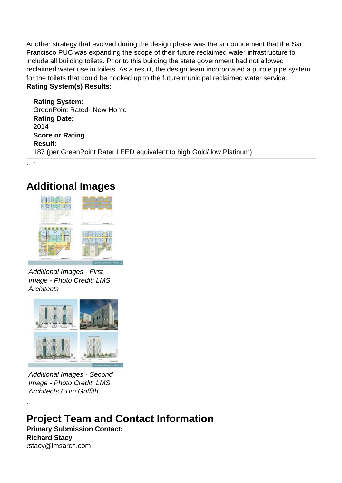Another strategy that evolved during the design phase was the announcement that the San Francisco PUC was expanding the scope of their future reclaimed water infrastructure to include all building toilets. Prior to this building the state government had not allowed reclaimed water use in toilets. As a result, the design team incorporated a purple pipe system for the toilets that could be hooked up to the future municipal reclaimed water service. **Rating System(s) Results:** 

**Rating System:**  GreenPoint Rated- New Home **Rating Date:**  2014 **Score or Rating Result:**  187 (per GreenPoint Rater LEED equivalent to high Gold/ low Platinum) .

## **Additional Images**

.



Additional Images - First Image - Photo Credit: LMS **Architects** 



Additional Images - Second Image - Photo Credit: LMS Architects / Tim Griffith

**Project Team and Contact Information Primary Submission Contact: Richard Stacy**

**.**rstacy@lmsarch.com

.